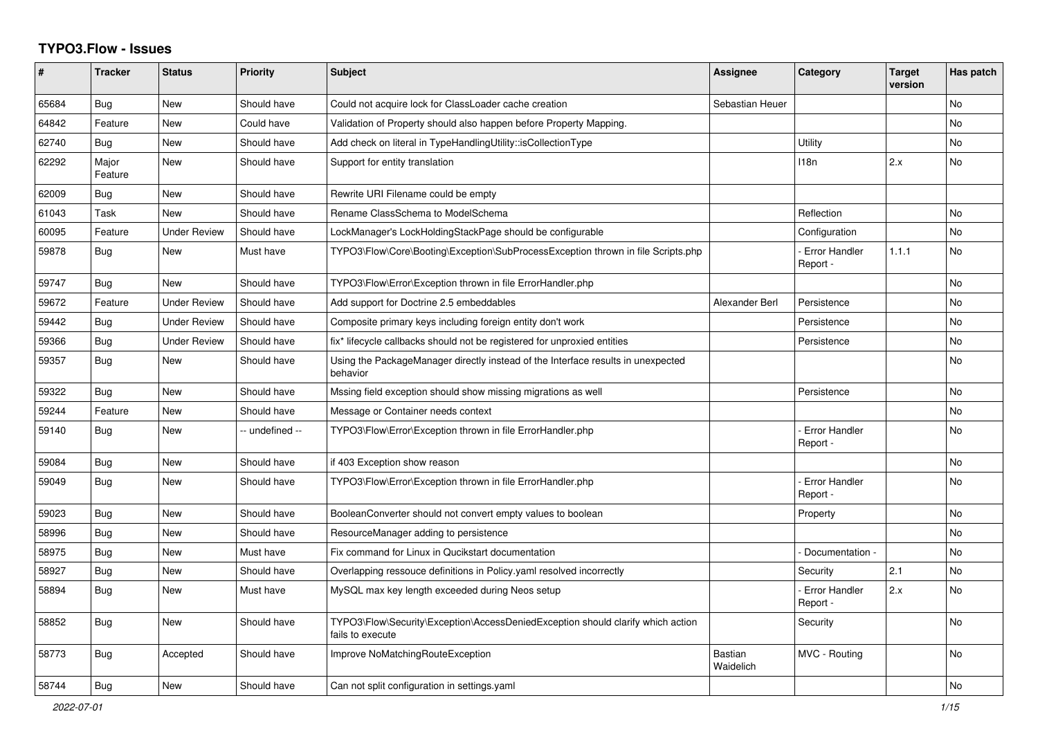## **TYPO3.Flow - Issues**

| #     | <b>Tracker</b>   | <b>Status</b>       | <b>Priority</b> | <b>Subject</b>                                                                                      | Assignee                    | <b>Category</b>                  | <b>Target</b><br>version | Has patch      |
|-------|------------------|---------------------|-----------------|-----------------------------------------------------------------------------------------------------|-----------------------------|----------------------------------|--------------------------|----------------|
| 65684 | Bug              | <b>New</b>          | Should have     | Could not acquire lock for ClassLoader cache creation                                               | Sebastian Heuer             |                                  |                          | No             |
| 64842 | Feature          | <b>New</b>          | Could have      | Validation of Property should also happen before Property Mapping.                                  |                             |                                  |                          | No.            |
| 62740 | Bug              | <b>New</b>          | Should have     | Add check on literal in TypeHandlingUtility::isCollectionType                                       |                             | Utility                          |                          | N <sub>o</sub> |
| 62292 | Major<br>Feature | <b>New</b>          | Should have     | Support for entity translation                                                                      |                             | 118n                             | 2.x                      | N <sub>o</sub> |
| 62009 | Bug              | <b>New</b>          | Should have     | Rewrite URI Filename could be empty                                                                 |                             |                                  |                          |                |
| 61043 | Task             | <b>New</b>          | Should have     | Rename ClassSchema to ModelSchema                                                                   |                             | Reflection                       |                          | No.            |
| 60095 | Feature          | <b>Under Review</b> | Should have     | LockManager's LockHoldingStackPage should be configurable                                           |                             | Configuration                    |                          | No             |
| 59878 | Bug              | <b>New</b>          | Must have       | TYPO3\Flow\Core\Booting\Exception\SubProcessException thrown in file Scripts.php                    |                             | <b>Error Handler</b><br>Report - | 1.1.1                    | N <sub>o</sub> |
| 59747 | Bug              | <b>New</b>          | Should have     | TYPO3\Flow\Error\Exception thrown in file ErrorHandler.php                                          |                             |                                  |                          | No             |
| 59672 | Feature          | <b>Under Review</b> | Should have     | Add support for Doctrine 2.5 embeddables                                                            | Alexander Berl              | Persistence                      |                          | N <sub>o</sub> |
| 59442 | Bug              | <b>Under Review</b> | Should have     | Composite primary keys including foreign entity don't work                                          |                             | Persistence                      |                          | N <sub>o</sub> |
| 59366 | Bug              | <b>Under Review</b> | Should have     | fix* lifecycle callbacks should not be registered for unproxied entities                            |                             | Persistence                      |                          | No             |
| 59357 | Bug              | <b>New</b>          | Should have     | Using the PackageManager directly instead of the Interface results in unexpected<br>behavior        |                             |                                  |                          | No.            |
| 59322 | Bug              | <b>New</b>          | Should have     | Mssing field exception should show missing migrations as well                                       |                             | Persistence                      |                          | N <sub>o</sub> |
| 59244 | Feature          | <b>New</b>          | Should have     | Message or Container needs context                                                                  |                             |                                  |                          | N <sub>o</sub> |
| 59140 | Bug              | <b>New</b>          | -- undefined -- | TYPO3\Flow\Error\Exception thrown in file ErrorHandler.php                                          |                             | <b>Error Handler</b><br>Report - |                          | N <sub>o</sub> |
| 59084 | Bug              | <b>New</b>          | Should have     | if 403 Exception show reason                                                                        |                             |                                  |                          | No             |
| 59049 | Bug              | <b>New</b>          | Should have     | TYPO3\Flow\Error\Exception thrown in file ErrorHandler.php                                          |                             | <b>Error Handler</b><br>Report - |                          | <b>No</b>      |
| 59023 | Bug              | <b>New</b>          | Should have     | BooleanConverter should not convert empty values to boolean                                         |                             | Property                         |                          | N <sub>o</sub> |
| 58996 | Bug              | <b>New</b>          | Should have     | ResourceManager adding to persistence                                                               |                             |                                  |                          | <b>No</b>      |
| 58975 | Bug              | <b>New</b>          | Must have       | Fix command for Linux in Qucikstart documentation                                                   |                             | Documentation -                  |                          | N <sub>o</sub> |
| 58927 | <b>Bug</b>       | <b>New</b>          | Should have     | Overlapping ressouce definitions in Policy yaml resolved incorrectly                                |                             | Security                         | 2.1                      | N <sub>o</sub> |
| 58894 | <b>Bug</b>       | New                 | Must have       | MySQL max key length exceeded during Neos setup                                                     |                             | <b>Error Handler</b><br>Report - | 2.x                      | N <sub>o</sub> |
| 58852 | <b>Bug</b>       | <b>New</b>          | Should have     | TYPO3\Flow\Security\Exception\AccessDeniedException should clarify which action<br>fails to execute |                             | Security                         |                          | N <sub>o</sub> |
| 58773 | Bug              | Accepted            | Should have     | Improve NoMatchingRouteException                                                                    | <b>Bastian</b><br>Waidelich | MVC - Routing                    |                          | No             |
| 58744 | <b>Bug</b>       | New                 | Should have     | Can not split configuration in settings yaml                                                        |                             |                                  |                          | No             |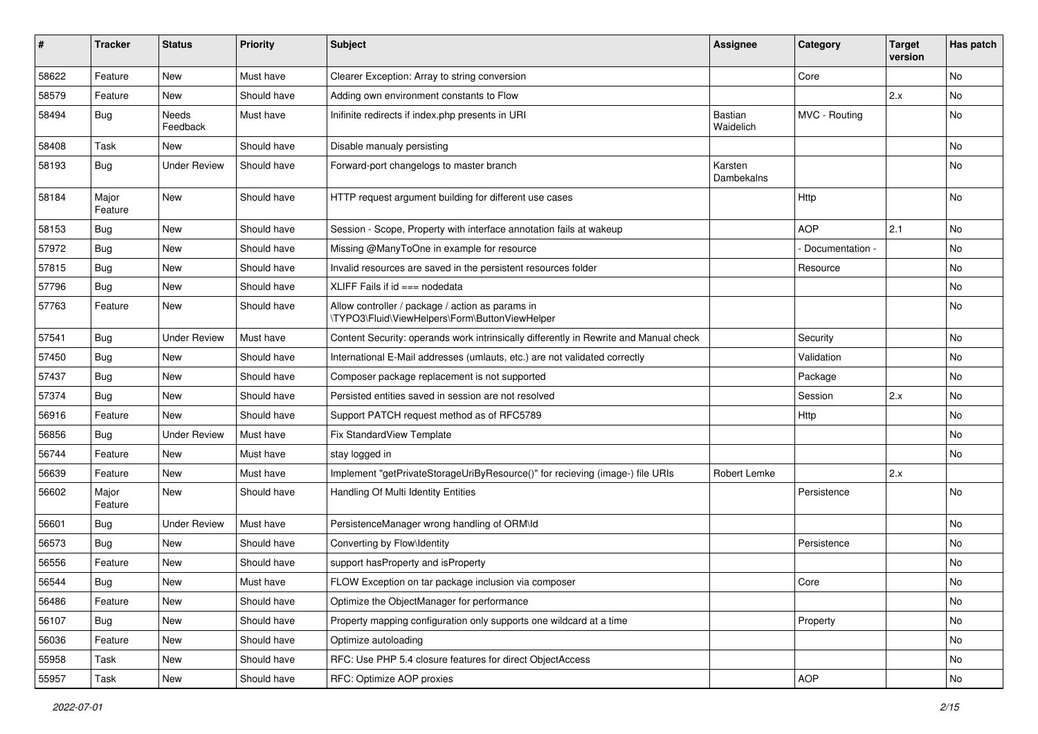| #     | <b>Tracker</b>   | <b>Status</b>       | <b>Priority</b> | <b>Subject</b>                                                                                     | Assignee                    | Category        | <b>Target</b><br>version | Has patch |
|-------|------------------|---------------------|-----------------|----------------------------------------------------------------------------------------------------|-----------------------------|-----------------|--------------------------|-----------|
| 58622 | Feature          | New                 | Must have       | Clearer Exception: Array to string conversion                                                      |                             | Core            |                          | No        |
| 58579 | Feature          | New                 | Should have     | Adding own environment constants to Flow                                                           |                             |                 | 2.x                      | No        |
| 58494 | <b>Bug</b>       | Needs<br>Feedback   | Must have       | Inifinite redirects if index.php presents in URI                                                   | <b>Bastian</b><br>Waidelich | MVC - Routing   |                          | No        |
| 58408 | Task             | New                 | Should have     | Disable manualy persisting                                                                         |                             |                 |                          | No        |
| 58193 | Bug              | <b>Under Review</b> | Should have     | Forward-port changelogs to master branch                                                           | Karsten<br>Dambekalns       |                 |                          | No        |
| 58184 | Major<br>Feature | New                 | Should have     | HTTP request argument building for different use cases                                             |                             | Http            |                          | No        |
| 58153 | <b>Bug</b>       | New                 | Should have     | Session - Scope, Property with interface annotation fails at wakeup                                |                             | <b>AOP</b>      | 2.1                      | No        |
| 57972 | <b>Bug</b>       | New                 | Should have     | Missing @ManyToOne in example for resource                                                         |                             | Documentation - |                          | No        |
| 57815 | Bug              | New                 | Should have     | Invalid resources are saved in the persistent resources folder                                     |                             | Resource        |                          | No        |
| 57796 | <b>Bug</b>       | New                 | Should have     | XLIFF Fails if $id ==$ nodedata                                                                    |                             |                 |                          | No        |
| 57763 | Feature          | New                 | Should have     | Allow controller / package / action as params in<br>\TYPO3\Fluid\ViewHelpers\Form\ButtonViewHelper |                             |                 |                          | No        |
| 57541 | Bug              | <b>Under Review</b> | Must have       | Content Security: operands work intrinsically differently in Rewrite and Manual check              |                             | Security        |                          | No        |
| 57450 | Bug              | New                 | Should have     | International E-Mail addresses (umlauts, etc.) are not validated correctly                         |                             | Validation      |                          | No        |
| 57437 | Bug              | New                 | Should have     | Composer package replacement is not supported                                                      |                             | Package         |                          | No        |
| 57374 | <b>Bug</b>       | New                 | Should have     | Persisted entities saved in session are not resolved                                               |                             | Session         | 2.x                      | No        |
| 56916 | Feature          | <b>New</b>          | Should have     | Support PATCH request method as of RFC5789                                                         |                             | Http            |                          | <b>No</b> |
| 56856 | Bug              | <b>Under Review</b> | Must have       | Fix StandardView Template                                                                          |                             |                 |                          | No        |
| 56744 | Feature          | New                 | Must have       | stay logged in                                                                                     |                             |                 |                          | No        |
| 56639 | Feature          | New                 | Must have       | Implement "getPrivateStorageUriByResource()" for recieving (image-) file URIs                      | Robert Lemke                |                 | 2.x                      |           |
| 56602 | Major<br>Feature | New                 | Should have     | Handling Of Multi Identity Entities                                                                |                             | Persistence     |                          | No        |
| 56601 | <b>Bug</b>       | <b>Under Review</b> | Must have       | PersistenceManager wrong handling of ORM\ld                                                        |                             |                 |                          | No        |
| 56573 | <b>Bug</b>       | New                 | Should have     | Converting by Flow\Identity                                                                        |                             | Persistence     |                          | No        |
| 56556 | Feature          | New                 | Should have     | support hasProperty and isProperty                                                                 |                             |                 |                          | No        |
| 56544 | Bug              | New                 | Must have       | FLOW Exception on tar package inclusion via composer                                               |                             | Core            |                          | No        |
| 56486 | Feature          | New                 | Should have     | Optimize the ObjectManager for performance                                                         |                             |                 |                          | No        |
| 56107 | <b>Bug</b>       | New                 | Should have     | Property mapping configuration only supports one wildcard at a time                                |                             | Property        |                          | No        |
| 56036 | Feature          | New                 | Should have     | Optimize autoloading                                                                               |                             |                 |                          | No        |
| 55958 | Task             | New                 | Should have     | RFC: Use PHP 5.4 closure features for direct ObjectAccess                                          |                             |                 |                          | No        |
| 55957 | Task             | New                 | Should have     | RFC: Optimize AOP proxies                                                                          |                             | AOP             |                          | No        |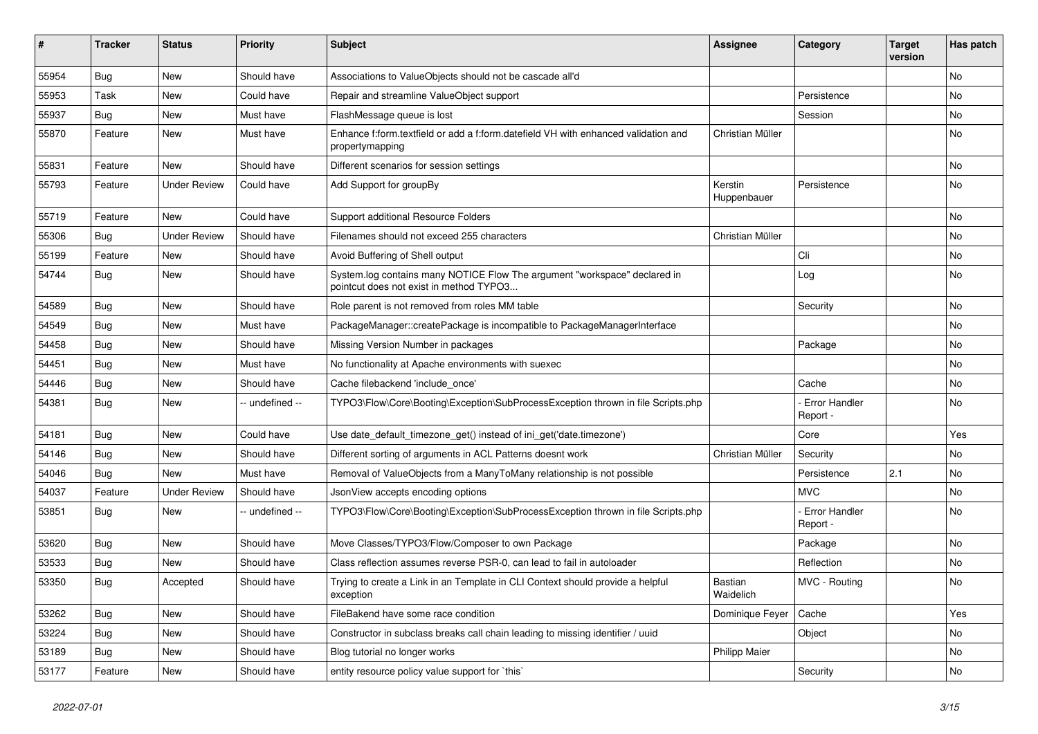| #     | Tracker    | <b>Status</b>       | <b>Priority</b> | <b>Subject</b>                                                                                                       | <b>Assignee</b>        | Category                         | <b>Target</b><br>version | Has patch |
|-------|------------|---------------------|-----------------|----------------------------------------------------------------------------------------------------------------------|------------------------|----------------------------------|--------------------------|-----------|
| 55954 | <b>Bug</b> | <b>New</b>          | Should have     | Associations to ValueObjects should not be cascade all'd                                                             |                        |                                  |                          | No        |
| 55953 | Task       | New                 | Could have      | Repair and streamline ValueObject support                                                                            |                        | Persistence                      |                          | No        |
| 55937 | <b>Bug</b> | New                 | Must have       | FlashMessage queue is lost                                                                                           |                        | Session                          |                          | No        |
| 55870 | Feature    | New                 | Must have       | Enhance f:form.textfield or add a f:form.datefield VH with enhanced validation and<br>propertymapping                | Christian Müller       |                                  |                          | No        |
| 55831 | Feature    | <b>New</b>          | Should have     | Different scenarios for session settings                                                                             |                        |                                  |                          | <b>No</b> |
| 55793 | Feature    | <b>Under Review</b> | Could have      | Add Support for groupBy                                                                                              | Kerstin<br>Huppenbauer | Persistence                      |                          | No        |
| 55719 | Feature    | New                 | Could have      | Support additional Resource Folders                                                                                  |                        |                                  |                          | No        |
| 55306 | <b>Bug</b> | <b>Under Review</b> | Should have     | Filenames should not exceed 255 characters                                                                           | Christian Müller       |                                  |                          | No        |
| 55199 | Feature    | New                 | Should have     | Avoid Buffering of Shell output                                                                                      |                        | Cli                              |                          | No        |
| 54744 | <b>Bug</b> | New                 | Should have     | System.log contains many NOTICE Flow The argument "workspace" declared in<br>pointcut does not exist in method TYPO3 |                        | Log                              |                          | No        |
| 54589 | <b>Bug</b> | <b>New</b>          | Should have     | Role parent is not removed from roles MM table                                                                       |                        | Security                         |                          | <b>No</b> |
| 54549 | <b>Bug</b> | New                 | Must have       | PackageManager::createPackage is incompatible to PackageManagerInterface                                             |                        |                                  |                          | No        |
| 54458 | <b>Bug</b> | New                 | Should have     | Missing Version Number in packages                                                                                   |                        | Package                          |                          | No        |
| 54451 | Bug        | New                 | Must have       | No functionality at Apache environments with suexec                                                                  |                        |                                  |                          | No        |
| 54446 | <b>Bug</b> | New                 | Should have     | Cache filebackend 'include once'                                                                                     |                        | Cache                            |                          | No        |
| 54381 | Bug        | New                 | -- undefined -- | TYPO3\Flow\Core\Booting\Exception\SubProcessException thrown in file Scripts.php                                     |                        | - Error Handler<br>Report -      |                          | No        |
| 54181 | <b>Bug</b> | New                 | Could have      | Use date_default_timezone_get() instead of ini_get('date.timezone')                                                  |                        | Core                             |                          | Yes       |
| 54146 | <b>Bug</b> | New                 | Should have     | Different sorting of arguments in ACL Patterns doesnt work                                                           | Christian Müller       | Security                         |                          | No        |
| 54046 | Bug        | New                 | Must have       | Removal of ValueObjects from a ManyToMany relationship is not possible                                               |                        | Persistence                      | 2.1                      | No        |
| 54037 | Feature    | <b>Under Review</b> | Should have     | JsonView accepts encoding options                                                                                    |                        | <b>MVC</b>                       |                          | No        |
| 53851 | Bug        | New                 | -- undefined -- | TYPO3\Flow\Core\Booting\Exception\SubProcessException thrown in file Scripts.php                                     |                        | <b>Error Handler</b><br>Report - |                          | No        |
| 53620 | <b>Bug</b> | New                 | Should have     | Move Classes/TYPO3/Flow/Composer to own Package                                                                      |                        | Package                          |                          | No        |
| 53533 | <b>Bug</b> | New                 | Should have     | Class reflection assumes reverse PSR-0, can lead to fail in autoloader                                               |                        | Reflection                       |                          | No        |
| 53350 | <b>Bug</b> | Accepted            | Should have     | Trying to create a Link in an Template in CLI Context should provide a helpful<br>exception                          | Bastian<br>Waidelich   | MVC - Routing                    |                          | No        |
| 53262 | Bug        | New                 | Should have     | FileBakend have some race condition                                                                                  | Dominique Feyer        | Cache                            |                          | Yes       |
| 53224 | Bug        | New                 | Should have     | Constructor in subclass breaks call chain leading to missing identifier / uuid                                       |                        | Object                           |                          | No        |
| 53189 | Bug        | New                 | Should have     | Blog tutorial no longer works                                                                                        | Philipp Maier          |                                  |                          | No        |
| 53177 | Feature    | New                 | Should have     | entity resource policy value support for `this`                                                                      |                        | Security                         |                          | No        |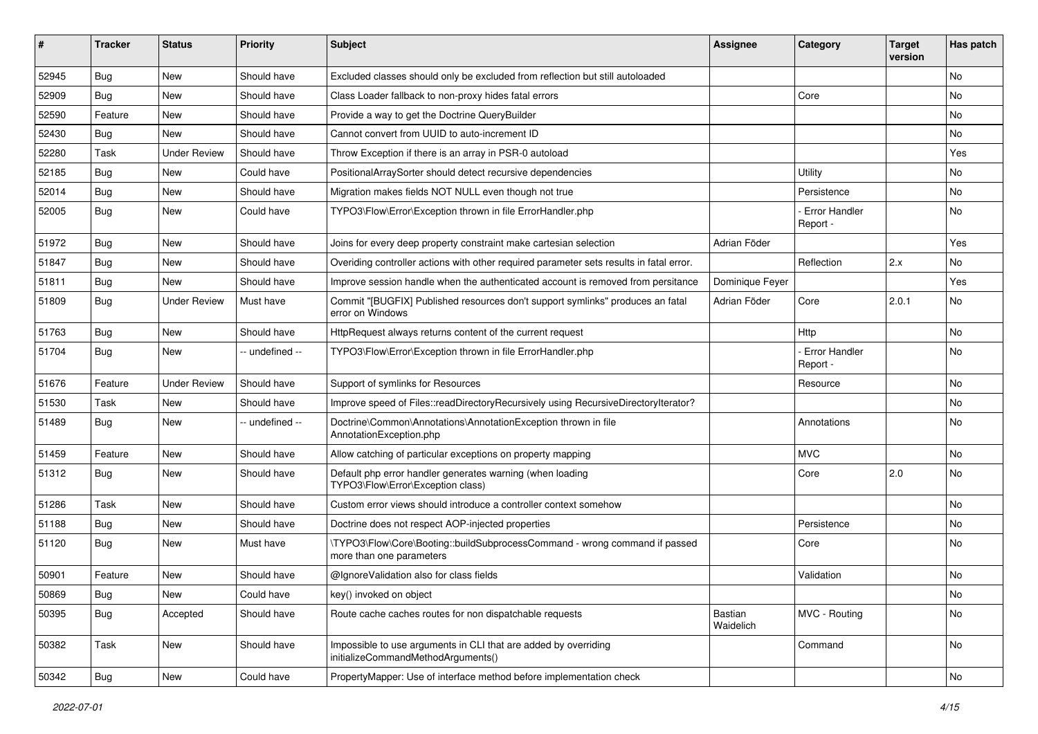| #     | <b>Tracker</b> | <b>Status</b>       | <b>Priority</b> | <b>Subject</b>                                                                                         | <b>Assignee</b>      | Category                         | <b>Target</b><br>version | Has patch |
|-------|----------------|---------------------|-----------------|--------------------------------------------------------------------------------------------------------|----------------------|----------------------------------|--------------------------|-----------|
| 52945 | Bug            | <b>New</b>          | Should have     | Excluded classes should only be excluded from reflection but still autoloaded                          |                      |                                  |                          | <b>No</b> |
| 52909 | <b>Bug</b>     | New                 | Should have     | Class Loader fallback to non-proxy hides fatal errors                                                  |                      | Core                             |                          | <b>No</b> |
| 52590 | Feature        | New                 | Should have     | Provide a way to get the Doctrine QueryBuilder                                                         |                      |                                  |                          | No        |
| 52430 | <b>Bug</b>     | New                 | Should have     | Cannot convert from UUID to auto-increment ID                                                          |                      |                                  |                          | No        |
| 52280 | Task           | <b>Under Review</b> | Should have     | Throw Exception if there is an array in PSR-0 autoload                                                 |                      |                                  |                          | Yes       |
| 52185 | Bug            | New                 | Could have      | PositionalArraySorter should detect recursive dependencies                                             |                      | Utility                          |                          | No        |
| 52014 | <b>Bug</b>     | New                 | Should have     | Migration makes fields NOT NULL even though not true                                                   |                      | Persistence                      |                          | No        |
| 52005 | Bug            | New                 | Could have      | TYPO3\Flow\Error\Exception thrown in file ErrorHandler.php                                             |                      | Error Handler<br>Report -        |                          | No        |
| 51972 | <b>Bug</b>     | <b>New</b>          | Should have     | Joins for every deep property constraint make cartesian selection                                      | Adrian Föder         |                                  |                          | Yes       |
| 51847 | <b>Bug</b>     | New                 | Should have     | Overiding controller actions with other required parameter sets results in fatal error.                |                      | Reflection                       | 2.x                      | <b>No</b> |
| 51811 | <b>Bug</b>     | New                 | Should have     | Improve session handle when the authenticated account is removed from persitance                       | Dominique Feyer      |                                  |                          | Yes       |
| 51809 | Bug            | <b>Under Review</b> | Must have       | Commit "[BUGFIX] Published resources don't support symlinks" produces an fatal<br>error on Windows     | Adrian Föder         | Core                             | 2.0.1                    | <b>No</b> |
| 51763 | <b>Bug</b>     | New                 | Should have     | HttpRequest always returns content of the current request                                              |                      | Http                             |                          | <b>No</b> |
| 51704 | Bug            | New                 | -- undefined -- | TYPO3\Flow\Error\Exception thrown in file ErrorHandler.php                                             |                      | <b>Error Handler</b><br>Report - |                          | <b>No</b> |
| 51676 | Feature        | <b>Under Review</b> | Should have     | Support of symlinks for Resources                                                                      |                      | Resource                         |                          | <b>No</b> |
| 51530 | Task           | New                 | Should have     | Improve speed of Files::readDirectoryRecursively using RecursiveDirectoryIterator?                     |                      |                                  |                          | No        |
| 51489 | Bug            | New                 | -- undefined -- | Doctrine\Common\Annotations\AnnotationException thrown in file<br>AnnotationException.php              |                      | Annotations                      |                          | No        |
| 51459 | Feature        | <b>New</b>          | Should have     | Allow catching of particular exceptions on property mapping                                            |                      | <b>MVC</b>                       |                          | <b>No</b> |
| 51312 | Bug            | New                 | Should have     | Default php error handler generates warning (when loading<br>TYPO3\Flow\Error\Exception class)         |                      | Core                             | 2.0                      | No        |
| 51286 | Task           | <b>New</b>          | Should have     | Custom error views should introduce a controller context somehow                                       |                      |                                  |                          | No        |
| 51188 | <b>Bug</b>     | New                 | Should have     | Doctrine does not respect AOP-injected properties                                                      |                      | Persistence                      |                          | <b>No</b> |
| 51120 | Bug            | New                 | Must have       | \TYPO3\Flow\Core\Booting::buildSubprocessCommand - wrong command if passed<br>more than one parameters |                      | Core                             |                          | <b>No</b> |
| 50901 | Feature        | New                 | Should have     | @IgnoreValidation also for class fields                                                                |                      | Validation                       |                          | No        |
| 50869 | Bug            | New                 | Could have      | key() invoked on object                                                                                |                      |                                  |                          | No        |
| 50395 | Bug            | Accepted            | Should have     | Route cache caches routes for non dispatchable requests                                                | Bastian<br>Waidelich | MVC - Routing                    |                          | No        |
| 50382 | Task           | New                 | Should have     | Impossible to use arguments in CLI that are added by overriding<br>initializeCommandMethodArguments()  |                      | Command                          |                          | No        |
| 50342 | Bug            | New                 | Could have      | PropertyMapper: Use of interface method before implementation check                                    |                      |                                  |                          | No        |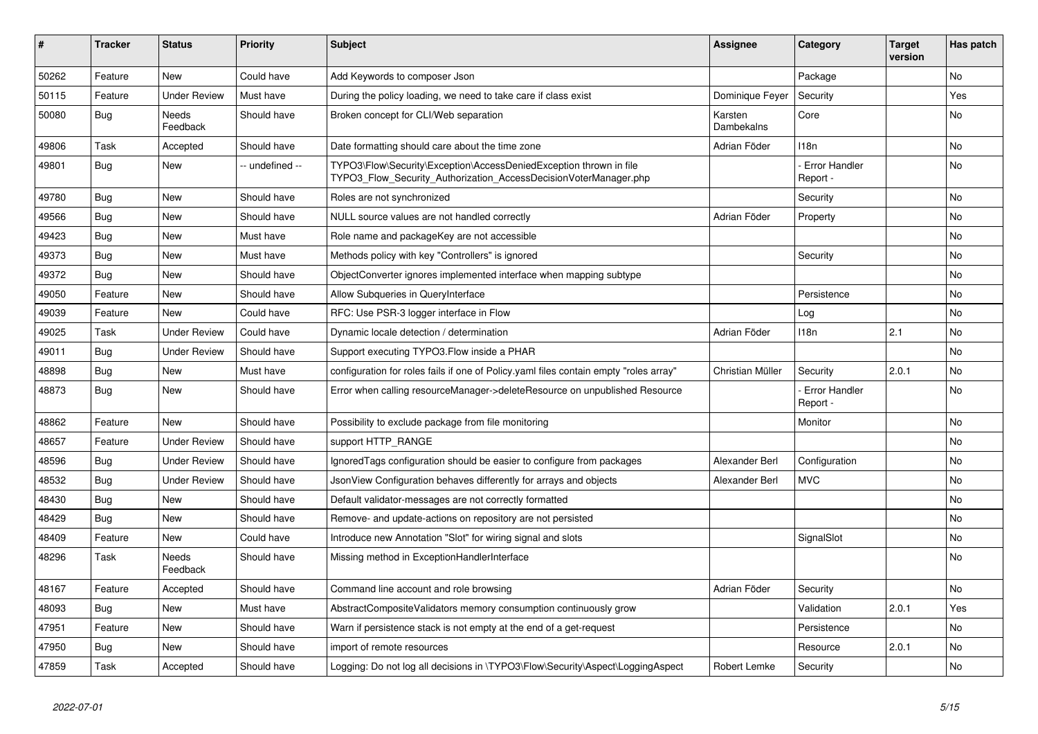| ∦     | <b>Tracker</b> | <b>Status</b>       | <b>Priority</b> | <b>Subject</b>                                                                                                                         | <b>Assignee</b>       | Category                         | <b>Target</b><br>version | Has patch      |
|-------|----------------|---------------------|-----------------|----------------------------------------------------------------------------------------------------------------------------------------|-----------------------|----------------------------------|--------------------------|----------------|
| 50262 | Feature        | <b>New</b>          | Could have      | Add Keywords to composer Json                                                                                                          |                       | Package                          |                          | N <sub>o</sub> |
| 50115 | Feature        | <b>Under Review</b> | Must have       | During the policy loading, we need to take care if class exist                                                                         | Dominique Fever       | Security                         |                          | Yes            |
| 50080 | Bug            | Needs<br>Feedback   | Should have     | Broken concept for CLI/Web separation                                                                                                  | Karsten<br>Dambekalns | Core                             |                          | No             |
| 49806 | Task           | Accepted            | Should have     | Date formatting should care about the time zone                                                                                        | Adrian Föder          | 118n                             |                          | No             |
| 49801 | Bug            | <b>New</b>          | - undefined --  | TYPO3\Flow\Security\Exception\AccessDeniedException thrown in file<br>TYPO3 Flow Security Authorization AccessDecisionVoterManager.php |                       | <b>Error Handler</b><br>Report - |                          | <b>No</b>      |
| 49780 | Bug            | <b>New</b>          | Should have     | Roles are not synchronized                                                                                                             |                       | Security                         |                          | <b>No</b>      |
| 49566 | Bug            | <b>New</b>          | Should have     | NULL source values are not handled correctly                                                                                           | Adrian Föder          | Property                         |                          | No             |
| 49423 | <b>Bug</b>     | <b>New</b>          | Must have       | Role name and packageKey are not accessible                                                                                            |                       |                                  |                          | No             |
| 49373 | Bug            | <b>New</b>          | Must have       | Methods policy with key "Controllers" is ignored                                                                                       |                       | Security                         |                          | <b>No</b>      |
| 49372 | <b>Bug</b>     | <b>New</b>          | Should have     | ObjectConverter ignores implemented interface when mapping subtype                                                                     |                       |                                  |                          | No             |
| 49050 | Feature        | <b>New</b>          | Should have     | Allow Subqueries in QueryInterface                                                                                                     |                       | Persistence                      |                          | No             |
| 49039 | Feature        | <b>New</b>          | Could have      | RFC: Use PSR-3 logger interface in Flow                                                                                                |                       | Log                              |                          | No             |
| 49025 | Task           | <b>Under Review</b> | Could have      | Dynamic locale detection / determination                                                                                               | Adrian Föder          | 118n                             | 2.1                      | <b>No</b>      |
| 49011 | Bug            | <b>Under Review</b> | Should have     | Support executing TYPO3. Flow inside a PHAR                                                                                            |                       |                                  |                          | No             |
| 48898 | Bug            | <b>New</b>          | Must have       | configuration for roles fails if one of Policy yaml files contain empty "roles array"                                                  | Christian Müller      | Security                         | 2.0.1                    | No             |
| 48873 | Bug            | <b>New</b>          | Should have     | Error when calling resourceManager->deleteResource on unpublished Resource                                                             |                       | Error Handler<br>Report -        |                          | No             |
| 48862 | Feature        | <b>New</b>          | Should have     | Possibility to exclude package from file monitoring                                                                                    |                       | Monitor                          |                          | No             |
| 48657 | Feature        | <b>Under Review</b> | Should have     | support HTTP RANGE                                                                                                                     |                       |                                  |                          | No             |
| 48596 | Bug            | <b>Under Review</b> | Should have     | Ignored Tags configuration should be easier to configure from packages                                                                 | Alexander Berl        | Configuration                    |                          | <b>No</b>      |
| 48532 | Bug            | <b>Under Review</b> | Should have     | JsonView Configuration behaves differently for arrays and objects                                                                      | Alexander Berl        | <b>MVC</b>                       |                          | No             |
| 48430 | Bug            | <b>New</b>          | Should have     | Default validator-messages are not correctly formatted                                                                                 |                       |                                  |                          | No             |
| 48429 | Bug            | <b>New</b>          | Should have     | Remove- and update-actions on repository are not persisted                                                                             |                       |                                  |                          | No             |
| 48409 | Feature        | <b>New</b>          | Could have      | Introduce new Annotation "Slot" for wiring signal and slots                                                                            |                       | SignalSlot                       |                          | No             |
| 48296 | Task           | Needs<br>Feedback   | Should have     | Missing method in ExceptionHandlerInterface                                                                                            |                       |                                  |                          | No             |
| 48167 | Feature        | Accepted            | Should have     | Command line account and role browsing                                                                                                 | Adrian Föder          | Security                         |                          | No             |
| 48093 | Bug            | <b>New</b>          | Must have       | AbstractCompositeValidators memory consumption continuously grow                                                                       |                       | Validation                       | 2.0.1                    | Yes            |
| 47951 | Feature        | <b>New</b>          | Should have     | Warn if persistence stack is not empty at the end of a get-request                                                                     |                       | Persistence                      |                          | No             |
| 47950 | Bug            | <b>New</b>          | Should have     | import of remote resources                                                                                                             |                       | Resource                         | 2.0.1                    | No             |
| 47859 | Task           | Accepted            | Should have     | Logging: Do not log all decisions in \TYPO3\Flow\Security\Aspect\LoggingAspect                                                         | Robert Lemke          | Security                         |                          | <b>No</b>      |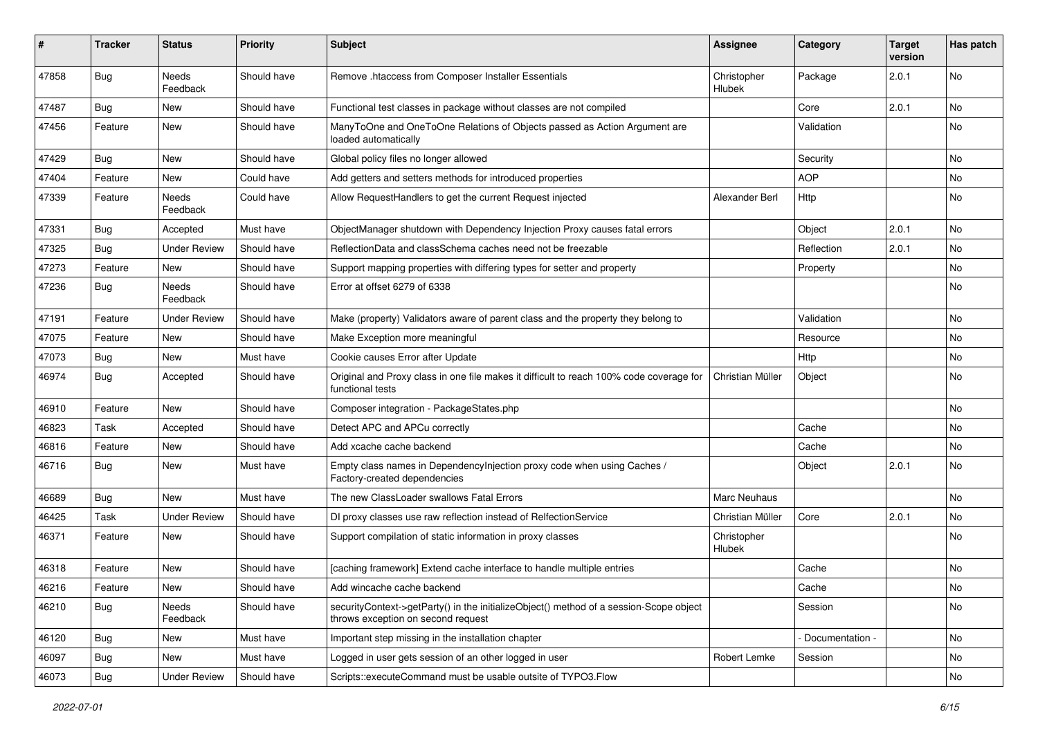| #     | Tracker    | <b>Status</b>       | <b>Priority</b> | <b>Subject</b>                                                                                                               | Assignee              | Category        | <b>Target</b><br>version | Has patch |
|-------|------------|---------------------|-----------------|------------------------------------------------------------------------------------------------------------------------------|-----------------------|-----------------|--------------------------|-----------|
| 47858 | <b>Bug</b> | Needs<br>Feedback   | Should have     | Remove .htaccess from Composer Installer Essentials                                                                          | Christopher<br>Hlubek | Package         | 2.0.1                    | No        |
| 47487 | Bug        | New                 | Should have     | Functional test classes in package without classes are not compiled                                                          |                       | Core            | 2.0.1                    | No        |
| 47456 | Feature    | New                 | Should have     | ManyToOne and OneToOne Relations of Objects passed as Action Argument are<br>loaded automatically                            |                       | Validation      |                          | No        |
| 47429 | <b>Bug</b> | New                 | Should have     | Global policy files no longer allowed                                                                                        |                       | Security        |                          | <b>No</b> |
| 47404 | Feature    | New                 | Could have      | Add getters and setters methods for introduced properties                                                                    |                       | <b>AOP</b>      |                          | No        |
| 47339 | Feature    | Needs<br>Feedback   | Could have      | Allow RequestHandlers to get the current Request injected                                                                    | Alexander Berl        | Http            |                          | No        |
| 47331 | <b>Bug</b> | Accepted            | Must have       | ObjectManager shutdown with Dependency Injection Proxy causes fatal errors                                                   |                       | Object          | 2.0.1                    | No        |
| 47325 | Bug        | <b>Under Review</b> | Should have     | ReflectionData and classSchema caches need not be freezable                                                                  |                       | Reflection      | 2.0.1                    | No        |
| 47273 | Feature    | New                 | Should have     | Support mapping properties with differing types for setter and property                                                      |                       | Property        |                          | No        |
| 47236 | <b>Bug</b> | Needs<br>Feedback   | Should have     | Error at offset 6279 of 6338                                                                                                 |                       |                 |                          | No        |
| 47191 | Feature    | <b>Under Review</b> | Should have     | Make (property) Validators aware of parent class and the property they belong to                                             |                       | Validation      |                          | No        |
| 47075 | Feature    | New                 | Should have     | Make Exception more meaningful                                                                                               |                       | Resource        |                          | No        |
| 47073 | <b>Bug</b> | New                 | Must have       | Cookie causes Error after Update                                                                                             |                       | Http            |                          | No        |
| 46974 | <b>Bug</b> | Accepted            | Should have     | Original and Proxy class in one file makes it difficult to reach 100% code coverage for<br>functional tests                  | Christian Müller      | Object          |                          | No        |
| 46910 | Feature    | New                 | Should have     | Composer integration - PackageStates.php                                                                                     |                       |                 |                          | No        |
| 46823 | Task       | Accepted            | Should have     | Detect APC and APCu correctly                                                                                                |                       | Cache           |                          | No        |
| 46816 | Feature    | New                 | Should have     | Add xcache cache backend                                                                                                     |                       | Cache           |                          | <b>No</b> |
| 46716 | <b>Bug</b> | New                 | Must have       | Empty class names in Dependencylnjection proxy code when using Caches /<br>Factory-created dependencies                      |                       | Object          | 2.0.1                    | No        |
| 46689 | <b>Bug</b> | New                 | Must have       | The new ClassLoader swallows Fatal Errors                                                                                    | <b>Marc Neuhaus</b>   |                 |                          | No        |
| 46425 | Task       | <b>Under Review</b> | Should have     | DI proxy classes use raw reflection instead of RelfectionService                                                             | Christian Müller      | Core            | 2.0.1                    | No.       |
| 46371 | Feature    | New                 | Should have     | Support compilation of static information in proxy classes                                                                   | Christopher<br>Hlubek |                 |                          | No        |
| 46318 | Feature    | New                 | Should have     | [caching framework] Extend cache interface to handle multiple entries                                                        |                       | Cache           |                          | No        |
| 46216 | Feature    | New                 | Should have     | Add wincache cache backend                                                                                                   |                       | Cache           |                          | No        |
| 46210 | Bug        | Needs<br>Feedback   | Should have     | securityContext->getParty() in the initializeObject() method of a session-Scope object<br>throws exception on second request |                       | Session         |                          | No        |
| 46120 | Bug        | New                 | Must have       | Important step missing in the installation chapter                                                                           |                       | Documentation - |                          | No        |
| 46097 | <b>Bug</b> | New                 | Must have       | Logged in user gets session of an other logged in user                                                                       | Robert Lemke          | Session         |                          | No        |
| 46073 | Bug        | <b>Under Review</b> | Should have     | Scripts::executeCommand must be usable outsite of TYPO3.Flow                                                                 |                       |                 |                          | No        |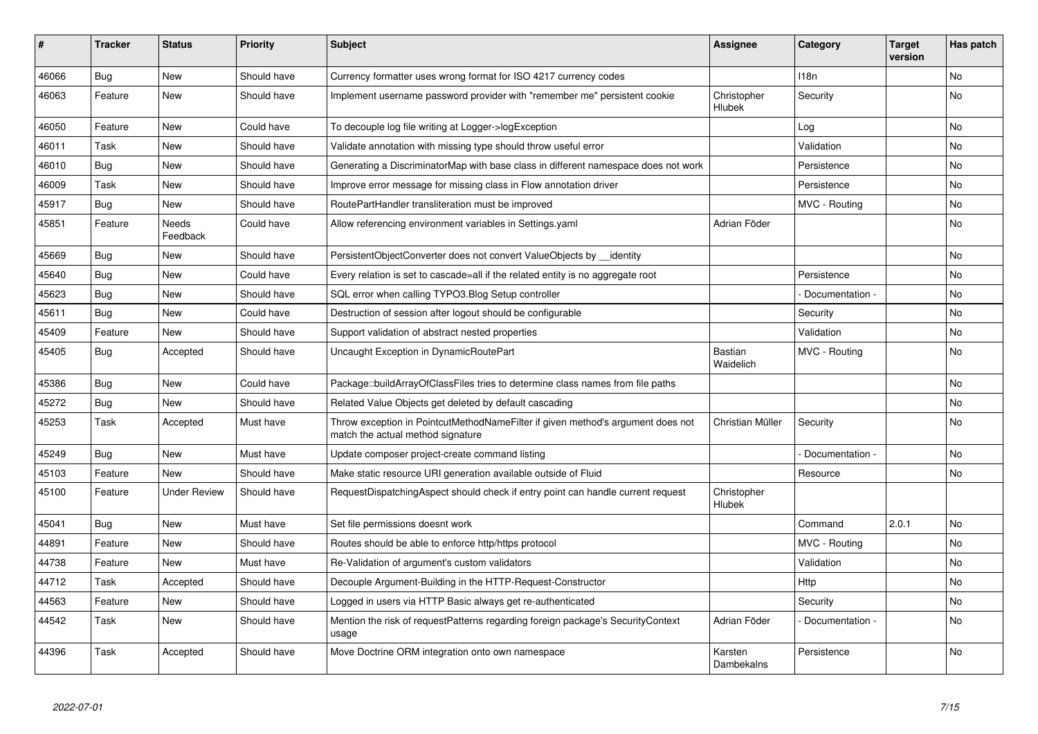| ∦     | <b>Tracker</b> | <b>Status</b>       | <b>Priority</b> | <b>Subject</b>                                                                                                       | <b>Assignee</b>       | Category         | <b>Target</b><br>version | Has patch |
|-------|----------------|---------------------|-----------------|----------------------------------------------------------------------------------------------------------------------|-----------------------|------------------|--------------------------|-----------|
| 46066 | <b>Bug</b>     | <b>New</b>          | Should have     | Currency formatter uses wrong format for ISO 4217 currency codes                                                     |                       | 118 <sub>n</sub> |                          | <b>No</b> |
| 46063 | Feature        | <b>New</b>          | Should have     | Implement username password provider with "remember me" persistent cookie                                            | Christopher<br>Hlubek | Security         |                          | No        |
| 46050 | Feature        | <b>New</b>          | Could have      | To decouple log file writing at Logger->logException                                                                 |                       | Log              |                          | <b>No</b> |
| 46011 | Task           | <b>New</b>          | Should have     | Validate annotation with missing type should throw useful error                                                      |                       | Validation       |                          | <b>No</b> |
| 46010 | Bug            | <b>New</b>          | Should have     | Generating a DiscriminatorMap with base class in different namespace does not work                                   |                       | Persistence      |                          | <b>No</b> |
| 46009 | Task           | <b>New</b>          | Should have     | Improve error message for missing class in Flow annotation driver                                                    |                       | Persistence      |                          | No        |
| 45917 | Bug            | <b>New</b>          | Should have     | RoutePartHandler transliteration must be improved                                                                    |                       | MVC - Routing    |                          | <b>No</b> |
| 45851 | Feature        | Needs<br>Feedback   | Could have      | Allow referencing environment variables in Settings yaml                                                             | Adrian Föder          |                  |                          | No        |
| 45669 | Bug            | <b>New</b>          | Should have     | PersistentObjectConverter does not convert ValueObjects by identity                                                  |                       |                  |                          | <b>No</b> |
| 45640 | Bug            | <b>New</b>          | Could have      | Every relation is set to cascade=all if the related entity is no aggregate root                                      |                       | Persistence      |                          | <b>No</b> |
| 45623 | <b>Bug</b>     | <b>New</b>          | Should have     | SQL error when calling TYPO3.Blog Setup controller                                                                   |                       | Documentation -  |                          | <b>No</b> |
| 45611 | Bug            | <b>New</b>          | Could have      | Destruction of session after logout should be configurable                                                           |                       | Security         |                          | No        |
| 45409 | Feature        | <b>New</b>          | Should have     | Support validation of abstract nested properties                                                                     |                       | Validation       |                          | No        |
| 45405 | <b>Bug</b>     | Accepted            | Should have     | Uncaught Exception in DynamicRoutePart                                                                               | Bastian<br>Waidelich  | MVC - Routing    |                          | <b>No</b> |
| 45386 | <b>Bug</b>     | <b>New</b>          | Could have      | Package::buildArrayOfClassFiles tries to determine class names from file paths                                       |                       |                  |                          | <b>No</b> |
| 45272 | Bug            | New                 | Should have     | Related Value Objects get deleted by default cascading                                                               |                       |                  |                          | No        |
| 45253 | Task           | Accepted            | Must have       | Throw exception in PointcutMethodNameFilter if given method's argument does not<br>match the actual method signature | Christian Müller      | Security         |                          | No        |
| 45249 | Bug            | <b>New</b>          | Must have       | Update composer project-create command listing                                                                       |                       | Documentation -  |                          | <b>No</b> |
| 45103 | Feature        | <b>New</b>          | Should have     | Make static resource URI generation available outside of Fluid                                                       |                       | Resource         |                          | <b>No</b> |
| 45100 | Feature        | <b>Under Review</b> | Should have     | RequestDispatchingAspect should check if entry point can handle current request                                      | Christopher<br>Hlubek |                  |                          |           |
| 45041 | Bug            | <b>New</b>          | Must have       | Set file permissions doesnt work                                                                                     |                       | Command          | 2.0.1                    | <b>No</b> |
| 44891 | Feature        | <b>New</b>          | Should have     | Routes should be able to enforce http/https protocol                                                                 |                       | MVC - Routing    |                          | <b>No</b> |
| 44738 | Feature        | <b>New</b>          | Must have       | Re-Validation of argument's custom validators                                                                        |                       | Validation       |                          | <b>No</b> |
| 44712 | Task           | Accepted            | Should have     | Decouple Argument-Building in the HTTP-Request-Constructor                                                           |                       | Http             |                          | No        |
| 44563 | Feature        | <b>New</b>          | Should have     | Logged in users via HTTP Basic always get re-authenticated                                                           |                       | Security         |                          | No        |
| 44542 | Task           | <b>New</b>          | Should have     | Mention the risk of requestPatterns regarding foreign package's SecurityContext<br>usage                             | Adrian Föder          | Documentation -  |                          | <b>No</b> |
| 44396 | Task           | Accepted            | Should have     | Move Doctrine ORM integration onto own namespace                                                                     | Karsten<br>Dambekalns | Persistence      |                          | <b>No</b> |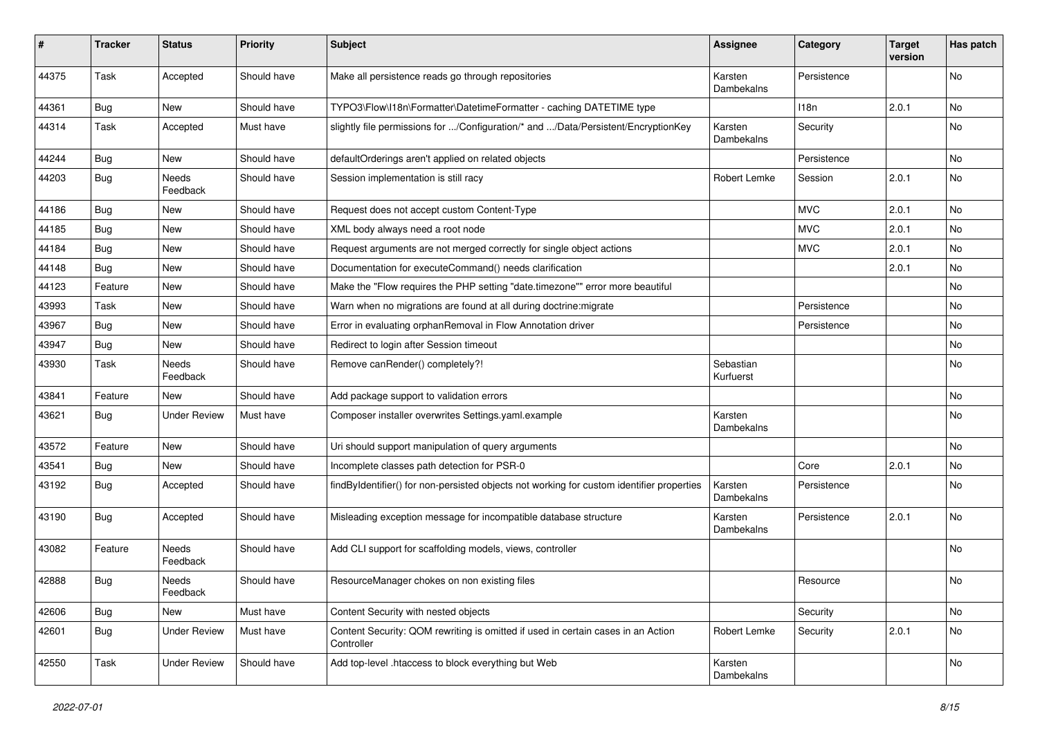| #     | <b>Tracker</b> | <b>Status</b>       | <b>Priority</b> | <b>Subject</b>                                                                                 | <b>Assignee</b>        | Category    | <b>Target</b><br>version | Has patch |
|-------|----------------|---------------------|-----------------|------------------------------------------------------------------------------------------------|------------------------|-------------|--------------------------|-----------|
| 44375 | Task           | Accepted            | Should have     | Make all persistence reads go through repositories                                             | Karsten<br>Dambekalns  | Persistence |                          | No        |
| 44361 | <b>Bug</b>     | New                 | Should have     | TYPO3\Flow\I18n\Formatter\DatetimeFormatter - caching DATETIME type                            |                        | 118n        | 2.0.1                    | No        |
| 44314 | Task           | Accepted            | Must have       | slightly file permissions for /Configuration/* and /Data/Persistent/EncryptionKey              | Karsten<br>Dambekalns  | Security    |                          | No        |
| 44244 | <b>Bug</b>     | New                 | Should have     | defaultOrderings aren't applied on related objects                                             |                        | Persistence |                          | <b>No</b> |
| 44203 | <b>Bug</b>     | Needs<br>Feedback   | Should have     | Session implementation is still racy                                                           | Robert Lemke           | Session     | 2.0.1                    | No        |
| 44186 | Bug            | <b>New</b>          | Should have     | Request does not accept custom Content-Type                                                    |                        | <b>MVC</b>  | 2.0.1                    | <b>No</b> |
| 44185 | <b>Bug</b>     | New                 | Should have     | XML body always need a root node                                                               |                        | <b>MVC</b>  | 2.0.1                    | No        |
| 44184 | Bug            | New                 | Should have     | Request arguments are not merged correctly for single object actions                           |                        | <b>MVC</b>  | 2.0.1                    | No        |
| 44148 | Bug            | New                 | Should have     | Documentation for executeCommand() needs clarification                                         |                        |             | 2.0.1                    | No        |
| 44123 | Feature        | New                 | Should have     | Make the "Flow requires the PHP setting "date.timezone"" error more beautiful                  |                        |             |                          | No        |
| 43993 | Task           | New                 | Should have     | Warn when no migrations are found at all during doctrine: migrate                              |                        | Persistence |                          | <b>No</b> |
| 43967 | Bug            | New                 | Should have     | Error in evaluating orphanRemoval in Flow Annotation driver                                    |                        | Persistence |                          | No        |
| 43947 | Bug            | New                 | Should have     | Redirect to login after Session timeout                                                        |                        |             |                          | No        |
| 43930 | Task           | Needs<br>Feedback   | Should have     | Remove canRender() completely?!                                                                | Sebastian<br>Kurfuerst |             |                          | No        |
| 43841 | Feature        | New                 | Should have     | Add package support to validation errors                                                       |                        |             |                          | No        |
| 43621 | <b>Bug</b>     | <b>Under Review</b> | Must have       | Composer installer overwrites Settings.yaml.example                                            | Karsten<br>Dambekalns  |             |                          | No        |
| 43572 | Feature        | New                 | Should have     | Uri should support manipulation of query arguments                                             |                        |             |                          | <b>No</b> |
| 43541 | Bug            | New                 | Should have     | Incomplete classes path detection for PSR-0                                                    |                        | Core        | 2.0.1                    | No        |
| 43192 | <b>Bug</b>     | Accepted            | Should have     | findByIdentifier() for non-persisted objects not working for custom identifier properties      | Karsten<br>Dambekalns  | Persistence |                          | No        |
| 43190 | <b>Bug</b>     | Accepted            | Should have     | Misleading exception message for incompatible database structure                               | Karsten<br>Dambekalns  | Persistence | 2.0.1                    | <b>No</b> |
| 43082 | Feature        | Needs<br>Feedback   | Should have     | Add CLI support for scaffolding models, views, controller                                      |                        |             |                          | No        |
| 42888 | Bug            | Needs<br>Feedback   | Should have     | ResourceManager chokes on non existing files                                                   |                        | Resource    |                          | No        |
| 42606 | Bug            | New                 | Must have       | Content Security with nested objects                                                           |                        | Security    |                          | No        |
| 42601 | Bug            | <b>Under Review</b> | Must have       | Content Security: QOM rewriting is omitted if used in certain cases in an Action<br>Controller | Robert Lemke           | Security    | 2.0.1                    | No        |
| 42550 | Task           | <b>Under Review</b> | Should have     | Add top-level .htaccess to block everything but Web                                            | Karsten<br>Dambekalns  |             |                          | No        |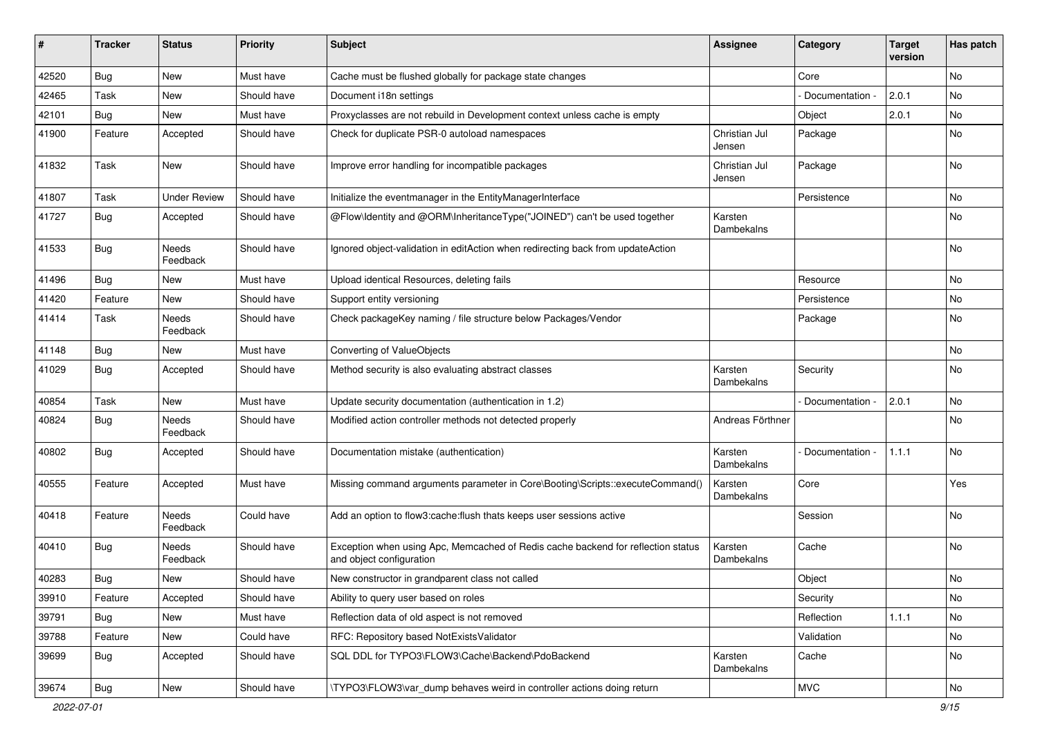| ∦     | <b>Tracker</b> | <b>Status</b>       | <b>Priority</b> | <b>Subject</b>                                                                                               | <b>Assignee</b>         | Category        | <b>Target</b><br>version | Has patch |
|-------|----------------|---------------------|-----------------|--------------------------------------------------------------------------------------------------------------|-------------------------|-----------------|--------------------------|-----------|
| 42520 | Bug            | New                 | Must have       | Cache must be flushed globally for package state changes                                                     |                         | Core            |                          | No        |
| 42465 | Task           | New                 | Should have     | Document i18n settings                                                                                       |                         | Documentation - | 2.0.1                    | No        |
| 42101 | Bug            | New                 | Must have       | Proxyclasses are not rebuild in Development context unless cache is empty                                    |                         | Object          | 2.0.1                    | No        |
| 41900 | Feature        | Accepted            | Should have     | Check for duplicate PSR-0 autoload namespaces                                                                | Christian Jul<br>Jensen | Package         |                          | No        |
| 41832 | Task           | <b>New</b>          | Should have     | Improve error handling for incompatible packages                                                             | Christian Jul<br>Jensen | Package         |                          | <b>No</b> |
| 41807 | Task           | <b>Under Review</b> | Should have     | Initialize the eventmanager in the EntityManagerInterface                                                    |                         | Persistence     |                          | No        |
| 41727 | Bug            | Accepted            | Should have     | @Flow\Identity and @ORM\InheritanceType("JOINED") can't be used together                                     | Karsten<br>Dambekalns   |                 |                          | No        |
| 41533 | Bug            | Needs<br>Feedback   | Should have     | Ignored object-validation in editAction when redirecting back from updateAction                              |                         |                 |                          | No        |
| 41496 | Bug            | <b>New</b>          | Must have       | Upload identical Resources, deleting fails                                                                   |                         | Resource        |                          | <b>No</b> |
| 41420 | Feature        | New                 | Should have     | Support entity versioning                                                                                    |                         | Persistence     |                          | No        |
| 41414 | Task           | Needs<br>Feedback   | Should have     | Check packageKey naming / file structure below Packages/Vendor                                               |                         | Package         |                          | No        |
| 41148 | <b>Bug</b>     | New                 | Must have       | Converting of ValueObjects                                                                                   |                         |                 |                          | <b>No</b> |
| 41029 | Bug            | Accepted            | Should have     | Method security is also evaluating abstract classes                                                          | Karsten<br>Dambekalns   | Security        |                          | No        |
| 40854 | Task           | New                 | Must have       | Update security documentation (authentication in 1.2)                                                        |                         | Documentation - | 2.0.1                    | No        |
| 40824 | <b>Bug</b>     | Needs<br>Feedback   | Should have     | Modified action controller methods not detected properly                                                     | Andreas Förthner        |                 |                          | No        |
| 40802 | <b>Bug</b>     | Accepted            | Should have     | Documentation mistake (authentication)                                                                       | Karsten<br>Dambekalns   | Documentation   | 1.1.1                    | <b>No</b> |
| 40555 | Feature        | Accepted            | Must have       | Missing command arguments parameter in Core\Booting\Scripts::executeCommand()                                | Karsten<br>Dambekalns   | Core            |                          | Yes       |
| 40418 | Feature        | Needs<br>Feedback   | Could have      | Add an option to flow3:cache:flush thats keeps user sessions active                                          |                         | Session         |                          | <b>No</b> |
| 40410 | Bug            | Needs<br>Feedback   | Should have     | Exception when using Apc, Memcached of Redis cache backend for reflection status<br>and object configuration | Karsten<br>Dambekalns   | Cache           |                          | No        |
| 40283 | <b>Bug</b>     | New                 | Should have     | New constructor in grandparent class not called                                                              |                         | Object          |                          | No        |
| 39910 | Feature        | Accepted            | Should have     | Ability to query user based on roles                                                                         |                         | Security        |                          | No        |
| 39791 | <b>Bug</b>     | New                 | Must have       | Reflection data of old aspect is not removed                                                                 |                         | Reflection      | 1.1.1                    | No        |
| 39788 | Feature        | New                 | Could have      | RFC: Repository based NotExistsValidator                                                                     |                         | Validation      |                          | No        |
| 39699 | Bug            | Accepted            | Should have     | SQL DDL for TYPO3\FLOW3\Cache\Backend\PdoBackend                                                             | Karsten<br>Dambekalns   | Cache           |                          | No        |
| 39674 | <b>Bug</b>     | New                 | Should have     | \TYPO3\FLOW3\var_dump behaves weird in controller actions doing return                                       |                         | <b>MVC</b>      |                          | No        |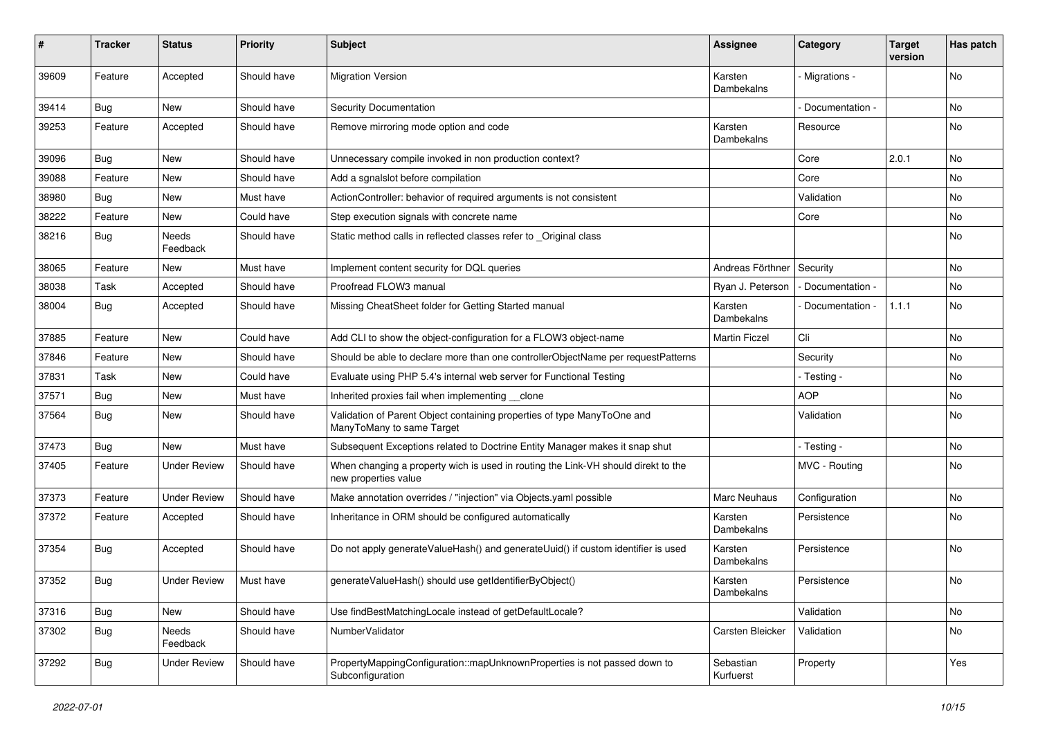| #     | <b>Tracker</b> | <b>Status</b>       | <b>Priority</b> | <b>Subject</b>                                                                                            | <b>Assignee</b>        | Category          | <b>Target</b><br>version | Has patch |
|-------|----------------|---------------------|-----------------|-----------------------------------------------------------------------------------------------------------|------------------------|-------------------|--------------------------|-----------|
| 39609 | Feature        | Accepted            | Should have     | <b>Migration Version</b>                                                                                  | Karsten<br>Dambekalns  | Migrations -      |                          | No        |
| 39414 | <b>Bug</b>     | New                 | Should have     | Security Documentation                                                                                    |                        | Documentation -   |                          | No        |
| 39253 | Feature        | Accepted            | Should have     | Remove mirroring mode option and code                                                                     | Karsten<br>Dambekalns  | Resource          |                          | No        |
| 39096 | Bug            | <b>New</b>          | Should have     | Unnecessary compile invoked in non production context?                                                    |                        | Core              | 2.0.1                    | <b>No</b> |
| 39088 | Feature        | New                 | Should have     | Add a sqnalslot before compilation                                                                        |                        | Core              |                          | No        |
| 38980 | <b>Bug</b>     | New                 | Must have       | ActionController: behavior of required arguments is not consistent                                        |                        | Validation        |                          | No        |
| 38222 | Feature        | New                 | Could have      | Step execution signals with concrete name                                                                 |                        | Core              |                          | No        |
| 38216 | Bug            | Needs<br>Feedback   | Should have     | Static method calls in reflected classes refer to _Original class                                         |                        |                   |                          | No        |
| 38065 | Feature        | New                 | Must have       | Implement content security for DQL queries                                                                | Andreas Förthner       | Security          |                          | No        |
| 38038 | Task           | Accepted            | Should have     | Proofread FLOW3 manual                                                                                    | Ryan J. Peterson       | - Documentation - |                          | No        |
| 38004 | Bug            | Accepted            | Should have     | Missing CheatSheet folder for Getting Started manual                                                      | Karsten<br>Dambekalns  | Documentation -   | 1.1.1                    | No        |
| 37885 | Feature        | <b>New</b>          | Could have      | Add CLI to show the object-configuration for a FLOW3 object-name                                          | <b>Martin Ficzel</b>   | Cli               |                          | <b>No</b> |
| 37846 | Feature        | New                 | Should have     | Should be able to declare more than one controllerObjectName per requestPatterns                          |                        | Security          |                          | No        |
| 37831 | Task           | New                 | Could have      | Evaluate using PHP 5.4's internal web server for Functional Testing                                       |                        | - Testing -       |                          | No        |
| 37571 | <b>Bug</b>     | New                 | Must have       | Inherited proxies fail when implementing clone                                                            |                        | <b>AOP</b>        |                          | No        |
| 37564 | <b>Bug</b>     | New                 | Should have     | Validation of Parent Object containing properties of type ManyToOne and<br>ManyToMany to same Target      |                        | Validation        |                          | No        |
| 37473 | <b>Bug</b>     | New                 | Must have       | Subsequent Exceptions related to Doctrine Entity Manager makes it snap shut                               |                        | - Testing -       |                          | <b>No</b> |
| 37405 | Feature        | <b>Under Review</b> | Should have     | When changing a property wich is used in routing the Link-VH should direkt to the<br>new properties value |                        | MVC - Routing     |                          | No        |
| 37373 | Feature        | <b>Under Review</b> | Should have     | Make annotation overrides / "injection" via Objects.yaml possible                                         | Marc Neuhaus           | Configuration     |                          | No        |
| 37372 | Feature        | Accepted            | Should have     | Inheritance in ORM should be configured automatically                                                     | Karsten<br>Dambekalns  | Persistence       |                          | No        |
| 37354 | <b>Bug</b>     | Accepted            | Should have     | Do not apply generateValueHash() and generateUuid() if custom identifier is used                          | Karsten<br>Dambekalns  | Persistence       |                          | No        |
| 37352 | <b>Bug</b>     | <b>Under Review</b> | Must have       | generateValueHash() should use getIdentifierByObject()                                                    | Karsten<br>Dambekalns  | Persistence       |                          | No        |
| 37316 | <b>Bug</b>     | New                 | Should have     | Use findBestMatchingLocale instead of getDefaultLocale?                                                   |                        | Validation        |                          | No        |
| 37302 | <b>Bug</b>     | Needs<br>Feedback   | Should have     | NumberValidator                                                                                           | Carsten Bleicker       | Validation        |                          | No        |
| 37292 | Bug            | <b>Under Review</b> | Should have     | PropertyMappingConfiguration::mapUnknownProperties is not passed down to<br>Subconfiguration              | Sebastian<br>Kurfuerst | Property          |                          | Yes       |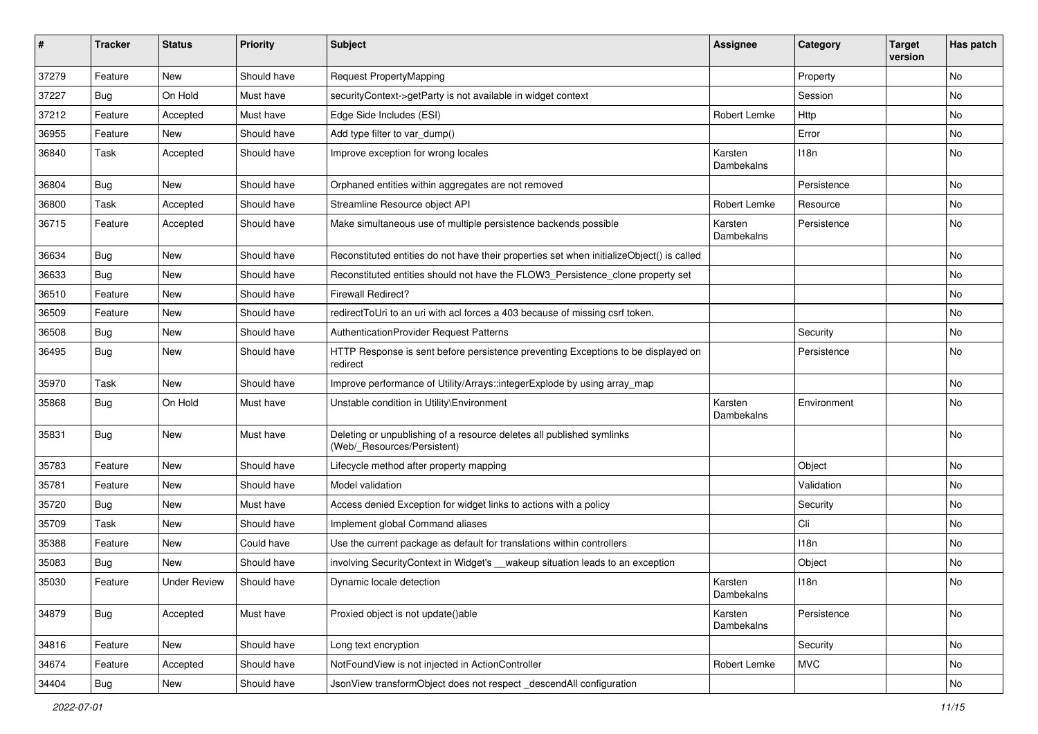| #     | <b>Tracker</b>   | <b>Status</b>       | <b>Priority</b> | <b>Subject</b>                                                                                       | <b>Assignee</b>       | Category    | <b>Target</b><br>version | Has patch |
|-------|------------------|---------------------|-----------------|------------------------------------------------------------------------------------------------------|-----------------------|-------------|--------------------------|-----------|
| 37279 | Feature          | <b>New</b>          | Should have     | <b>Request PropertyMapping</b>                                                                       |                       | Property    |                          | No        |
| 37227 | <b>Bug</b>       | On Hold             | Must have       | securityContext->getParty is not available in widget context                                         |                       | Session     |                          | No        |
| 37212 | Feature          | Accepted            | Must have       | Edge Side Includes (ESI)                                                                             | Robert Lemke          | Http        |                          | No        |
| 36955 | Feature          | <b>New</b>          | Should have     | Add type filter to var_dump()                                                                        |                       | Error       |                          | No        |
| 36840 | Task             | Accepted            | Should have     | Improve exception for wrong locales                                                                  | Karsten<br>Dambekalns | 118n        |                          | No        |
| 36804 | <b>Bug</b>       | New                 | Should have     | Orphaned entities within aggregates are not removed                                                  |                       | Persistence |                          | No        |
| 36800 | Task             | Accepted            | Should have     | Streamline Resource object API                                                                       | Robert Lemke          | Resource    |                          | <b>No</b> |
| 36715 | Feature          | Accepted            | Should have     | Make simultaneous use of multiple persistence backends possible                                      | Karsten<br>Dambekalns | Persistence |                          | No        |
| 36634 | Bug              | New                 | Should have     | Reconstituted entities do not have their properties set when initializeObject() is called            |                       |             |                          | No        |
| 36633 | <b>Bug</b>       | <b>New</b>          | Should have     | Reconstituted entities should not have the FLOW3_Persistence_clone property set                      |                       |             |                          | No        |
| 36510 | Feature          | <b>New</b>          | Should have     | <b>Firewall Redirect?</b>                                                                            |                       |             |                          | No        |
| 36509 | Feature          | <b>New</b>          | Should have     | redirectToUri to an uri with acl forces a 403 because of missing csrf token.                         |                       |             |                          | <b>No</b> |
| 36508 | <b>Bug</b>       | New                 | Should have     | AuthenticationProvider Request Patterns                                                              |                       | Security    |                          | No        |
| 36495 | <b>Bug</b>       | New                 | Should have     | HTTP Response is sent before persistence preventing Exceptions to be displayed on<br>redirect        |                       | Persistence |                          | No        |
| 35970 | Task             | <b>New</b>          | Should have     | Improve performance of Utility/Arrays::integerExplode by using array_map                             |                       |             |                          | <b>No</b> |
| 35868 | <b>Bug</b>       | On Hold             | Must have       | Unstable condition in Utility\Environment                                                            | Karsten<br>Dambekalns | Environment |                          | No        |
| 35831 | Bug              | <b>New</b>          | Must have       | Deleting or unpublishing of a resource deletes all published symlinks<br>(Web/_Resources/Persistent) |                       |             |                          | No        |
| 35783 | Feature          | <b>New</b>          | Should have     | Lifecycle method after property mapping                                                              |                       | Object      |                          | No        |
| 35781 | Feature          | New                 | Should have     | Model validation                                                                                     |                       | Validation  |                          | <b>No</b> |
| 35720 | Bug              | <b>New</b>          | Must have       | Access denied Exception for widget links to actions with a policy                                    |                       | Security    |                          | No        |
| 35709 | Task             | <b>New</b>          | Should have     | Implement global Command aliases                                                                     |                       | Cli         |                          | No        |
| 35388 | Feature          | New                 | Could have      | Use the current package as default for translations within controllers                               |                       | 118n        |                          | No        |
| 35083 | <b>Bug</b>       | <b>New</b>          | Should have     | involving SecurityContext in Widget's __wakeup situation leads to an exception                       |                       | Object      |                          | No        |
| 35030 | Feature          | <b>Under Review</b> | Should have     | Dynamic locale detection                                                                             | Karsten<br>Dambekalns | 118n        |                          | No        |
| 34879 | Bug              | Accepted            | Must have       | Proxied object is not update()able                                                                   | Karsten<br>Dambekalns | Persistence |                          | No        |
| 34816 | Feature          | New                 | Should have     | Long text encryption                                                                                 |                       | Security    |                          | No        |
| 34674 | Feature          | Accepted            | Should have     | NotFoundView is not injected in ActionController                                                     | Robert Lemke          | <b>MVC</b>  |                          | No        |
| 34404 | <sub>I</sub> Bug | New                 | Should have     | JsonView transformObject does not respect descendAll configuration                                   |                       |             |                          | No        |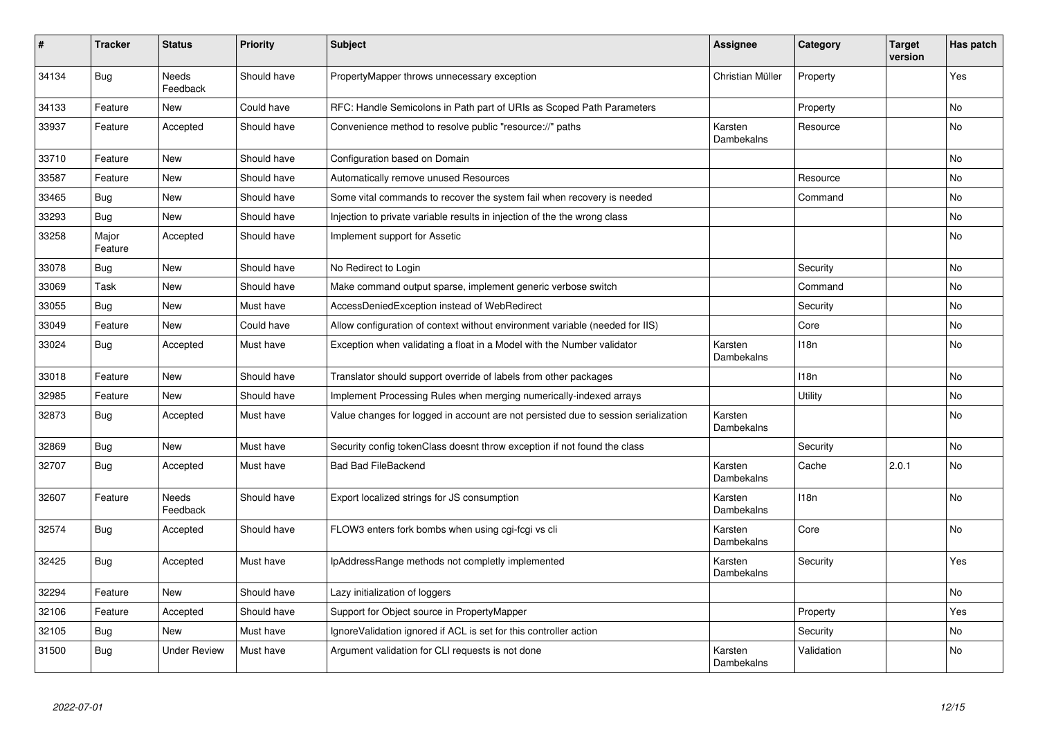| #     | <b>Tracker</b>   | <b>Status</b>            | <b>Priority</b> | <b>Subject</b>                                                                     | <b>Assignee</b>       | Category   | <b>Target</b><br>version | Has patch      |
|-------|------------------|--------------------------|-----------------|------------------------------------------------------------------------------------|-----------------------|------------|--------------------------|----------------|
| 34134 | <b>Bug</b>       | <b>Needs</b><br>Feedback | Should have     | PropertyMapper throws unnecessary exception                                        | Christian Müller      | Property   |                          | Yes            |
| 34133 | Feature          | <b>New</b>               | Could have      | RFC: Handle Semicolons in Path part of URIs as Scoped Path Parameters              |                       | Property   |                          | <b>No</b>      |
| 33937 | Feature          | Accepted                 | Should have     | Convenience method to resolve public "resource://" paths                           | Karsten<br>Dambekalns | Resource   |                          | No             |
| 33710 | Feature          | <b>New</b>               | Should have     | Configuration based on Domain                                                      |                       |            |                          | No             |
| 33587 | Feature          | <b>New</b>               | Should have     | Automatically remove unused Resources                                              |                       | Resource   |                          | <b>No</b>      |
| 33465 | Bug              | <b>New</b>               | Should have     | Some vital commands to recover the system fail when recovery is needed             |                       | Command    |                          | No             |
| 33293 | Bug              | <b>New</b>               | Should have     | Injection to private variable results in injection of the the wrong class          |                       |            |                          | No             |
| 33258 | Major<br>Feature | Accepted                 | Should have     | Implement support for Assetic                                                      |                       |            |                          | No             |
| 33078 | <b>Bug</b>       | <b>New</b>               | Should have     | No Redirect to Login                                                               |                       | Security   |                          | <b>No</b>      |
| 33069 | Task             | <b>New</b>               | Should have     | Make command output sparse, implement generic verbose switch                       |                       | Command    |                          | <b>No</b>      |
| 33055 | Bug              | <b>New</b>               | Must have       | AccessDeniedException instead of WebRedirect                                       |                       | Security   |                          | No             |
| 33049 | Feature          | New                      | Could have      | Allow configuration of context without environment variable (needed for IIS)       |                       | Core       |                          | No             |
| 33024 | <b>Bug</b>       | Accepted                 | Must have       | Exception when validating a float in a Model with the Number validator             | Karsten<br>Dambekalns | 118n       |                          | No             |
| 33018 | Feature          | <b>New</b>               | Should have     | Translator should support override of labels from other packages                   |                       | 118n       |                          | No             |
| 32985 | Feature          | <b>New</b>               | Should have     | Implement Processing Rules when merging numerically-indexed arrays                 |                       | Utility    |                          | N <sub>o</sub> |
| 32873 | Bug              | Accepted                 | Must have       | Value changes for logged in account are not persisted due to session serialization | Karsten<br>Dambekalns |            |                          | No             |
| 32869 | <b>Bug</b>       | <b>New</b>               | Must have       | Security config tokenClass doesnt throw exception if not found the class           |                       | Security   |                          | <b>No</b>      |
| 32707 | Bug              | Accepted                 | Must have       | <b>Bad Bad FileBackend</b>                                                         | Karsten<br>Dambekalns | Cache      | 2.0.1                    | No             |
| 32607 | Feature          | Needs<br>Feedback        | Should have     | Export localized strings for JS consumption                                        | Karsten<br>Dambekalns | 118n       |                          | No             |
| 32574 | <b>Bug</b>       | Accepted                 | Should have     | FLOW3 enters fork bombs when using cgi-fcgi vs cli                                 | Karsten<br>Dambekalns | Core       |                          | No             |
| 32425 | Bug              | Accepted                 | Must have       | IpAddressRange methods not completly implemented                                   | Karsten<br>Dambekalns | Security   |                          | Yes            |
| 32294 | Feature          | <b>New</b>               | Should have     | Lazy initialization of loggers                                                     |                       |            |                          | No             |
| 32106 | Feature          | Accepted                 | Should have     | Support for Object source in PropertyMapper                                        |                       | Property   |                          | Yes            |
| 32105 | Bug              | <b>New</b>               | Must have       | Ignore Validation ignored if ACL is set for this controller action                 |                       | Security   |                          | No             |
| 31500 | <b>Bug</b>       | <b>Under Review</b>      | Must have       | Argument validation for CLI requests is not done                                   | Karsten<br>Dambekalns | Validation |                          | No             |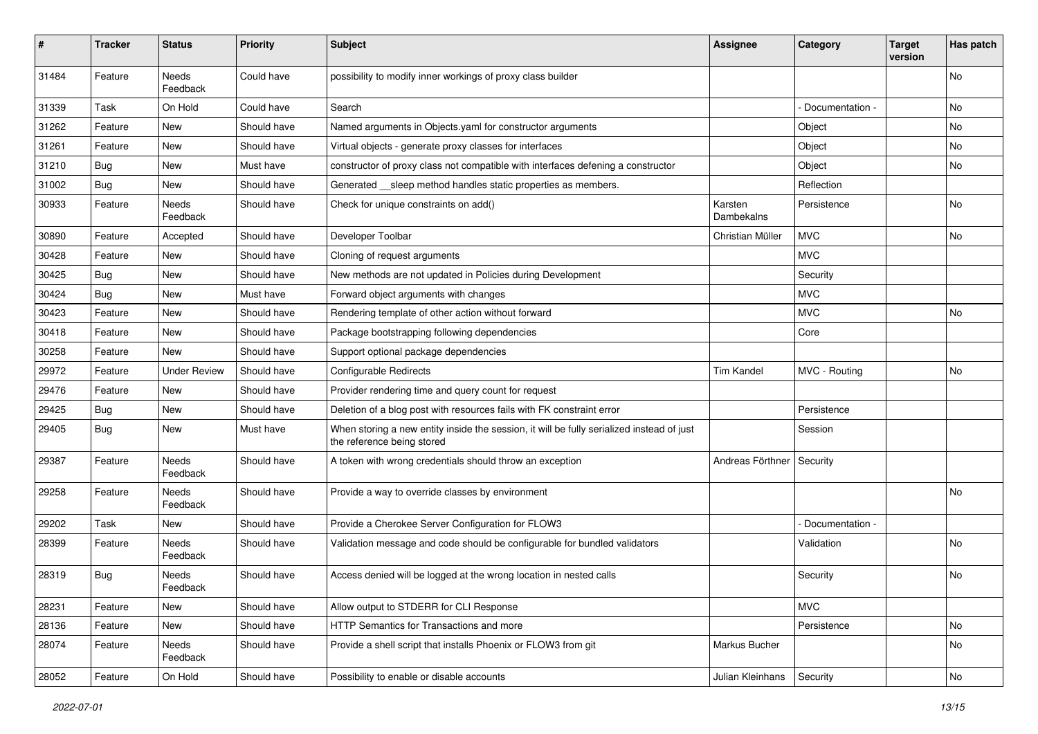| #     | <b>Tracker</b> | <b>Status</b>       | <b>Priority</b> | <b>Subject</b>                                                                                                          | Assignee              | Category        | <b>Target</b><br>version | Has patch |
|-------|----------------|---------------------|-----------------|-------------------------------------------------------------------------------------------------------------------------|-----------------------|-----------------|--------------------------|-----------|
| 31484 | Feature        | Needs<br>Feedback   | Could have      | possibility to modify inner workings of proxy class builder                                                             |                       |                 |                          | No        |
| 31339 | Task           | On Hold             | Could have      | Search                                                                                                                  |                       | Documentation - |                          | No        |
| 31262 | Feature        | <b>New</b>          | Should have     | Named arguments in Objects.yaml for constructor arguments                                                               |                       | Object          |                          | No        |
| 31261 | Feature        | New                 | Should have     | Virtual objects - generate proxy classes for interfaces                                                                 |                       | Object          |                          | No        |
| 31210 | <b>Bug</b>     | New                 | Must have       | constructor of proxy class not compatible with interfaces defening a constructor                                        |                       | Object          |                          | No.       |
| 31002 | Bug            | New                 | Should have     | Generated __ sleep method handles static properties as members.                                                         |                       | Reflection      |                          |           |
| 30933 | Feature        | Needs<br>Feedback   | Should have     | Check for unique constraints on add()                                                                                   | Karsten<br>Dambekalns | Persistence     |                          | <b>No</b> |
| 30890 | Feature        | Accepted            | Should have     | Developer Toolbar                                                                                                       | Christian Müller      | <b>MVC</b>      |                          | No        |
| 30428 | Feature        | New                 | Should have     | Cloning of request arguments                                                                                            |                       | <b>MVC</b>      |                          |           |
| 30425 | <b>Bug</b>     | <b>New</b>          | Should have     | New methods are not updated in Policies during Development                                                              |                       | Security        |                          |           |
| 30424 | <b>Bug</b>     | New                 | Must have       | Forward object arguments with changes                                                                                   |                       | <b>MVC</b>      |                          |           |
| 30423 | Feature        | New                 | Should have     | Rendering template of other action without forward                                                                      |                       | <b>MVC</b>      |                          | No.       |
| 30418 | Feature        | New                 | Should have     | Package bootstrapping following dependencies                                                                            |                       | Core            |                          |           |
| 30258 | Feature        | New                 | Should have     | Support optional package dependencies                                                                                   |                       |                 |                          |           |
| 29972 | Feature        | <b>Under Review</b> | Should have     | Configurable Redirects                                                                                                  | <b>Tim Kandel</b>     | MVC - Routing   |                          | No        |
| 29476 | Feature        | New                 | Should have     | Provider rendering time and query count for request                                                                     |                       |                 |                          |           |
| 29425 | <b>Bug</b>     | New                 | Should have     | Deletion of a blog post with resources fails with FK constraint error                                                   |                       | Persistence     |                          |           |
| 29405 | <b>Bug</b>     | New                 | Must have       | When storing a new entity inside the session, it will be fully serialized instead of just<br>the reference being stored |                       | Session         |                          |           |
| 29387 | Feature        | Needs<br>Feedback   | Should have     | A token with wrong credentials should throw an exception                                                                | Andreas Förthner      | Security        |                          |           |
| 29258 | Feature        | Needs<br>Feedback   | Should have     | Provide a way to override classes by environment                                                                        |                       |                 |                          | No        |
| 29202 | Task           | New                 | Should have     | Provide a Cherokee Server Configuration for FLOW3                                                                       |                       | Documentation - |                          |           |
| 28399 | Feature        | Needs<br>Feedback   | Should have     | Validation message and code should be configurable for bundled validators                                               |                       | Validation      |                          | No.       |
| 28319 | <b>Bug</b>     | Needs<br>Feedback   | Should have     | Access denied will be logged at the wrong location in nested calls                                                      |                       | Security        |                          | No        |
| 28231 | Feature        | New                 | Should have     | Allow output to STDERR for CLI Response                                                                                 |                       | <b>MVC</b>      |                          |           |
| 28136 | Feature        | New                 | Should have     | HTTP Semantics for Transactions and more                                                                                |                       | Persistence     |                          | No        |
| 28074 | Feature        | Needs<br>Feedback   | Should have     | Provide a shell script that installs Phoenix or FLOW3 from git                                                          | Markus Bucher         |                 |                          | No        |
| 28052 | Feature        | On Hold             | Should have     | Possibility to enable or disable accounts                                                                               | Julian Kleinhans      | Security        |                          | No        |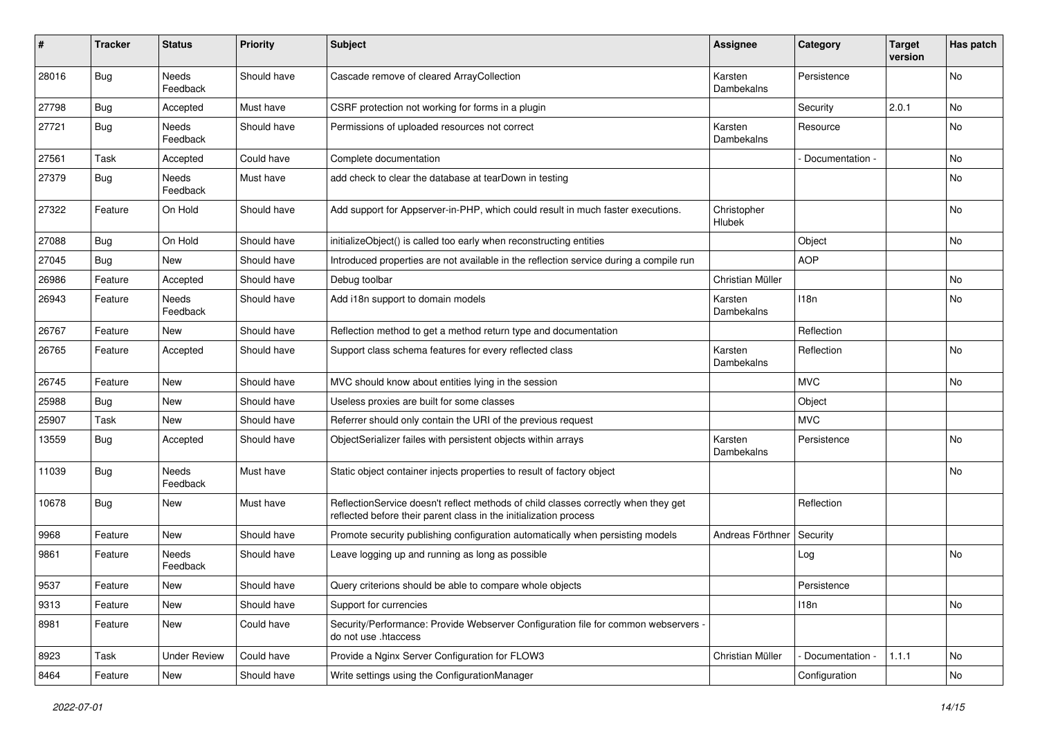| #     | <b>Tracker</b> | <b>Status</b>            | <b>Priority</b> | Subject                                                                                                                                                 | <b>Assignee</b>       | Category        | <b>Target</b><br>version | Has patch |
|-------|----------------|--------------------------|-----------------|---------------------------------------------------------------------------------------------------------------------------------------------------------|-----------------------|-----------------|--------------------------|-----------|
| 28016 | <b>Bug</b>     | Needs<br>Feedback        | Should have     | Cascade remove of cleared ArrayCollection                                                                                                               | Karsten<br>Dambekalns | Persistence     |                          | No        |
| 27798 | <b>Bug</b>     | Accepted                 | Must have       | CSRF protection not working for forms in a plugin                                                                                                       |                       | Security        | 2.0.1                    | No        |
| 27721 | <b>Bug</b>     | Needs<br>Feedback        | Should have     | Permissions of uploaded resources not correct                                                                                                           | Karsten<br>Dambekalns | Resource        |                          | No        |
| 27561 | Task           | Accepted                 | Could have      | Complete documentation                                                                                                                                  |                       | Documentation - |                          | <b>No</b> |
| 27379 | <b>Bug</b>     | Needs<br>Feedback        | Must have       | add check to clear the database at tearDown in testing                                                                                                  |                       |                 |                          | No        |
| 27322 | Feature        | On Hold                  | Should have     | Add support for Appserver-in-PHP, which could result in much faster executions.                                                                         | Christopher<br>Hlubek |                 |                          | No        |
| 27088 | <b>Bug</b>     | On Hold                  | Should have     | initializeObject() is called too early when reconstructing entities                                                                                     |                       | Object          |                          | No        |
| 27045 | Bug            | <b>New</b>               | Should have     | Introduced properties are not available in the reflection service during a compile run                                                                  |                       | <b>AOP</b>      |                          |           |
| 26986 | Feature        | Accepted                 | Should have     | Debug toolbar                                                                                                                                           | Christian Müller      |                 |                          | <b>No</b> |
| 26943 | Feature        | <b>Needs</b><br>Feedback | Should have     | Add i18n support to domain models                                                                                                                       | Karsten<br>Dambekalns | 118n            |                          | No        |
| 26767 | Feature        | New                      | Should have     | Reflection method to get a method return type and documentation                                                                                         |                       | Reflection      |                          |           |
| 26765 | Feature        | Accepted                 | Should have     | Support class schema features for every reflected class                                                                                                 | Karsten<br>Dambekalns | Reflection      |                          | No        |
| 26745 | Feature        | <b>New</b>               | Should have     | MVC should know about entities lying in the session                                                                                                     |                       | <b>MVC</b>      |                          | <b>No</b> |
| 25988 | Bug            | New                      | Should have     | Useless proxies are built for some classes                                                                                                              |                       | Object          |                          |           |
| 25907 | Task           | New                      | Should have     | Referrer should only contain the URI of the previous request                                                                                            |                       | <b>MVC</b>      |                          |           |
| 13559 | <b>Bug</b>     | Accepted                 | Should have     | ObjectSerializer failes with persistent objects within arrays                                                                                           | Karsten<br>Dambekalns | Persistence     |                          | No        |
| 11039 | Bug            | Needs<br>Feedback        | Must have       | Static object container injects properties to result of factory object                                                                                  |                       |                 |                          | No        |
| 10678 | <b>Bug</b>     | New                      | Must have       | ReflectionService doesn't reflect methods of child classes correctly when they get<br>reflected before their parent class in the initialization process |                       | Reflection      |                          |           |
| 9968  | Feature        | New                      | Should have     | Promote security publishing configuration automatically when persisting models                                                                          | Andreas Förthner      | Security        |                          |           |
| 9861  | Feature        | Needs<br>Feedback        | Should have     | Leave logging up and running as long as possible                                                                                                        |                       | Log             |                          | <b>No</b> |
| 9537  | Feature        | New                      | Should have     | Query criterions should be able to compare whole objects                                                                                                |                       | Persistence     |                          |           |
| 9313  | Feature        | New                      | Should have     | Support for currencies                                                                                                                                  |                       | 118n            |                          | No        |
| 8981  | Feature        | New                      | Could have      | Security/Performance: Provide Webserver Configuration file for common webservers -<br>do not use .htaccess                                              |                       |                 |                          |           |
| 8923  | Task           | <b>Under Review</b>      | Could have      | Provide a Nginx Server Configuration for FLOW3                                                                                                          | Christian Müller      | Documentation - | 1.1.1                    | No        |
| 8464  | Feature        | New                      | Should have     | Write settings using the ConfigurationManager                                                                                                           |                       | Configuration   |                          | No        |